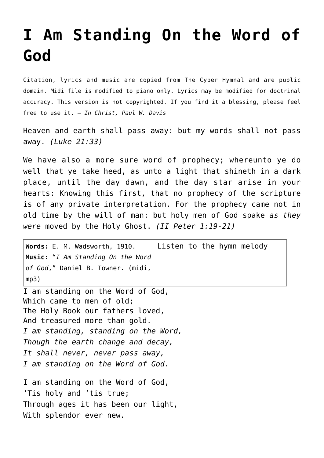## **[I Am Standing On the Word of](http://reproachofmen.org/hymns-and-music/i-am-standing-on-the-word-of-god/) [God](http://reproachofmen.org/hymns-and-music/i-am-standing-on-the-word-of-god/)**

Citation, lyrics and music are copied from [The Cyber Hymnal](http://www.hymntime.com/tch/index.htm) and are public domain. Midi file is modified to piano only. Lyrics may be modified for doctrinal accuracy. This version is not copyrighted. If you find it a blessing, please feel free to use it. — *In Christ, Paul W. Davis*

Heaven and earth shall pass away: but my words shall not pass away. *(Luke 21:33)*

We have also a more sure word of prophecy; whereunto ye do well that ye take heed, as unto a light that shineth in a dark place, until the day dawn, and the day star arise in your hearts: Knowing this first, that no prophecy of the scripture is of any private interpretation. For the prophecy came not in old time by the will of man: but holy men of God spake *as they were* moved by the Holy Ghost. *(II Peter 1:19-21)*

| $ $ Words: E. M. Wadsworth, 1910. $ $ Listen to the hymn melody   |  |
|-------------------------------------------------------------------|--|
| $\vert$ Music: "I Am Standing On the Word                         |  |
| $ $ of God," <code>Daniel B. Towner. (midi, <math> </math></code> |  |
| mp3)                                                              |  |

I am standing on the Word of God, Which came to men of old: The Holy Book our fathers loved, And treasured more than gold. *I am standing, standing on the Word, Though the earth change and decay, It shall never, never pass away, I am standing on the Word of God.*

I am standing on the Word of God, 'Tis holy and 'tis true; Through ages it has been our light, With splendor ever new.